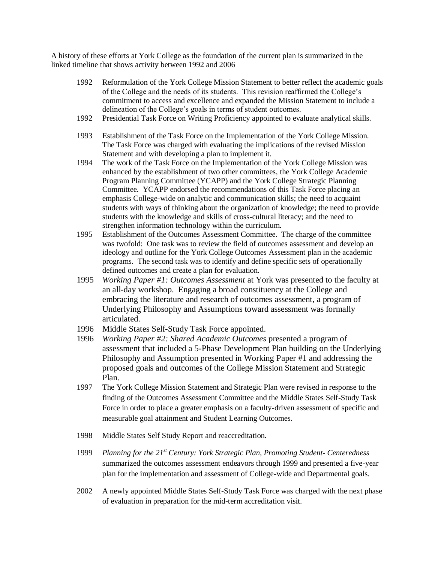A history of these efforts at York College as the foundation of the current plan is summarized in the linked timeline that shows activity between 1992 and 2006

- 1992 Reformulation of the York College Mission Statement to better reflect the academic goals of the College and the needs of its students. This revision reaffirmed the College's commitment to access and excellence and expanded the Mission Statement to include a delineation of the College's goals in terms of student outcomes.
- 1992 Presidential Task Force on Writing Proficiency appointed to evaluate analytical skills.
- 1993 Establishment of the Task Force on the Implementation of the York College Mission. The Task Force was charged with evaluating the implications of the revised Mission Statement and with developing a plan to implement it.
- 1994 The work of the Task Force on the Implementation of the York College Mission was enhanced by the establishment of two other committees, the York College Academic Program Planning Committee (YCAPP) and the York College Strategic Planning Committee. YCAPP endorsed the recommendations of this Task Force placing an emphasis College-wide on analytic and communication skills; the need to acquaint students with ways of thinking about the organization of knowledge; the need to provide students with the knowledge and skills of cross-cultural literacy; and the need to strengthen information technology within the curriculum.
- 1995 Establishment of the Outcomes Assessment Committee. The charge of the committee was twofold: One task was to review the field of outcomes assessment and develop an ideology and outline for the York College Outcomes Assessment plan in the academic programs. The second task was to identify and define specific sets of operationally defined outcomes and create a plan for evaluation.
- 1995 *Working Paper #1: Outcomes Assessment* at York was presented to the faculty at an all-day workshop. Engaging a broad constituency at the College and embracing the literature and research of outcomes assessment, a program of Underlying Philosophy and Assumptions toward assessment was formally articulated.
- 1996 Middle States Self-Study Task Force appointed.
- 1996 *Working Paper #2: Shared Academic Outcomes* presented a program of assessment that included a 5-Phase Development Plan building on the Underlying Philosophy and Assumption presented in Working Paper #1 and addressing the proposed goals and outcomes of the College Mission Statement and Strategic Plan.
- 1997 The York College Mission Statement and Strategic Plan were revised in response to the finding of the Outcomes Assessment Committee and the Middle States Self-Study Task Force in order to place a greater emphasis on a faculty-driven assessment of specific and measurable goal attainment and Student Learning Outcomes.
- 1998 Middle States Self Study Report and reaccreditation.
- 1999 *Planning for the 21st Century: York Strategic Plan, Promoting Student- Centeredness* summarized the outcomes assessment endeavors through 1999 and presented a five-year plan for the implementation and assessment of College-wide and Departmental goals.
- 2002 A newly appointed Middle States Self-Study Task Force was charged with the next phase of evaluation in preparation for the mid-term accreditation visit.